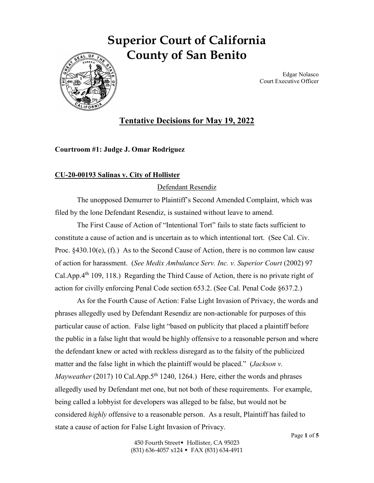# **Superior Court of California County of San Benito**



Edgar Nolasco Court Executive Officer

# **Tentative Decisions for May 19, 2022**

# **Courtroom #1: Judge J. Omar Rodriguez**

# **CU-20-00193 Salinas v. City of Hollister**

# Defendant Resendiz

The unopposed Demurrer to Plaintiff's Second Amended Complaint, which was filed by the lone Defendant Resendiz, is sustained without leave to amend.

The First Cause of Action of "Intentional Tort" fails to state facts sufficient to constitute a cause of action and is uncertain as to which intentional tort. (See Cal. Civ. Proc. §430.10(e), (f).) As to the Second Cause of Action, there is no common law cause of action for harassment. (*See Medix Ambulance Serv. Inc. v. Superior Court* (2002) 97 Cal.App. $4<sup>th</sup>$  109, 118.) Regarding the Third Cause of Action, there is no private right of action for civilly enforcing Penal Code section 653.2. (See Cal. Penal Code §637.2.)

As for the Fourth Cause of Action: False Light Invasion of Privacy, the words and phrases allegedly used by Defendant Resendiz are non-actionable for purposes of this particular cause of action. False light "based on publicity that placed a plaintiff before the public in a false light that would be highly offensive to a reasonable person and where the defendant knew or acted with reckless disregard as to the falsity of the publicized matter and the false light in which the plaintiff would be placed." (*Jackson v. Mayweather* (2017) 10 Cal.App.5<sup>th</sup> 1240, 1264.) Here, either the words and phrases allegedly used by Defendant met one, but not both of these requirements. For example, being called a lobbyist for developers was alleged to be false, but would not be considered *highly* offensive to a reasonable person. As a result, Plaintiff has failed to state a cause of action for False Light Invasion of Privacy.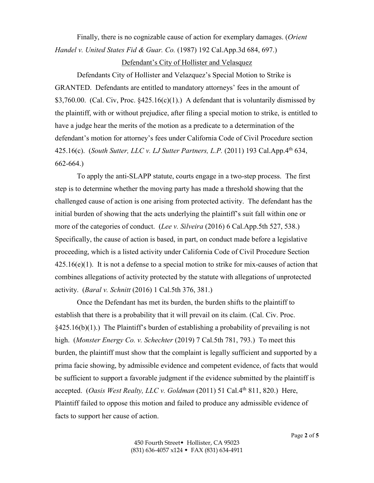Finally, there is no cognizable cause of action for exemplary damages. (*Orient Handel v. United States Fid & Guar. Co.* (1987) 192 Cal.App.3d 684, 697.)

#### Defendant's City of Hollister and Velasquez

Defendants City of Hollister and Velazquez's Special Motion to Strike is GRANTED. Defendants are entitled to mandatory attorneys' fees in the amount of \$3,760.00. (Cal. Civ, Proc.  $§425.16(c)(1)$ .) A defendant that is voluntarily dismissed by the plaintiff, with or without prejudice, after filing a special motion to strike, is entitled to have a judge hear the merits of the motion as a predicate to a determination of the defendant's motion for attorney's fees under California Code of Civil Procedure section 425.16(c). (*South Sutter, LLC v. LJ Sutter Partners, L.P.* (2011) 193 Cal.App.4th 634, 662-664.)

To apply the anti-SLAPP statute, courts engage in a two-step process. The first step is to determine whether the moving party has made a threshold showing that the challenged cause of action is one arising from protected activity. The defendant has the initial burden of showing that the acts underlying the plaintiff's suit fall within one or more of the categories of conduct. (*Lee v. Silveira* (2016) 6 Cal.App.5th 527, 538.) Specifically, the cause of action is based, in part, on conduct made before a legislative proceeding, which is a listed activity under California Code of Civil Procedure Section  $425.16(e)(1)$ . It is not a defense to a special motion to strike for mix-causes of action that combines allegations of activity protected by the statute with allegations of unprotected activity. (*Baral v. Schnitt* (2016) 1 Cal.5th 376, 381.)

Once the Defendant has met its burden, the burden shifts to the plaintiff to establish that there is a probability that it will prevail on its claim. (Cal. Civ. Proc.  $§425.16(b)(1)$ .) The Plaintiff's burden of establishing a probability of prevailing is not high. (*Monster Energy Co. v. Schechter* (2019) 7 Cal.5th 781, 793.) To meet this burden, the plaintiff must show that the complaint is legally sufficient and supported by a prima facie showing, by admissible evidence and competent evidence, of facts that would be sufficient to support a favorable judgment if the evidence submitted by the plaintiff is accepted. (*Oasis West Realty, LLC v. Goldman* (2011) 51 Cal.4th 811, 820.) Here, Plaintiff failed to oppose this motion and failed to produce any admissible evidence of facts to support her cause of action.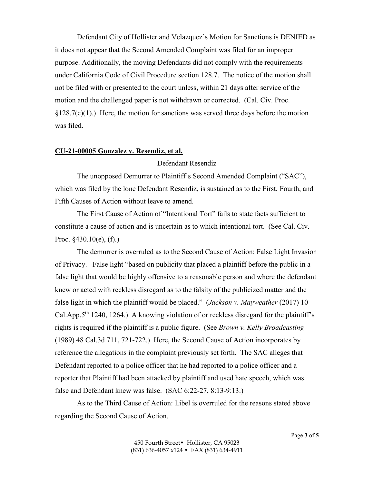Defendant City of Hollister and Velazquez's Motion for Sanctions is DENIED as it does not appear that the Second Amended Complaint was filed for an improper purpose. Additionally, the moving Defendants did not comply with the requirements under California Code of Civil Procedure section 128.7. The notice of the motion shall not be filed with or presented to the court unless, within 21 days after service of the motion and the challenged paper is not withdrawn or corrected. (Cal. Civ. Proc.  $$128.7(c)(1)$ .) Here, the motion for sanctions was served three days before the motion was filed.

# **CU-21-00005 Gonzalez v. Resendiz, et al.**

#### Defendant Resendiz

The unopposed Demurrer to Plaintiff's Second Amended Complaint ("SAC"), which was filed by the lone Defendant Resendiz, is sustained as to the First, Fourth, and Fifth Causes of Action without leave to amend.

The First Cause of Action of "Intentional Tort" fails to state facts sufficient to constitute a cause of action and is uncertain as to which intentional tort. (See Cal. Civ. Proc.  $$430.10(e)$ , (f).)

The demurrer is overruled as to the Second Cause of Action: False Light Invasion of Privacy. False light "based on publicity that placed a plaintiff before the public in a false light that would be highly offensive to a reasonable person and where the defendant knew or acted with reckless disregard as to the falsity of the publicized matter and the false light in which the plaintiff would be placed." (*Jackson v. Mayweather* (2017) 10 Cal.App. $5<sup>th</sup>$  1240, 1264.) A knowing violation of or reckless disregard for the plaintiff's rights is required if the plaintiff is a public figure. (See *Brown v. Kelly Broadcasting* (1989) 48 Cal.3d 711, 721-722.) Here, the Second Cause of Action incorporates by reference the allegations in the complaint previously set forth. The SAC alleges that Defendant reported to a police officer that he had reported to a police officer and a reporter that Plaintiff had been attacked by plaintiff and used hate speech, which was false and Defendant knew was false. (SAC 6:22-27, 8:13-9:13.)

As to the Third Cause of Action: Libel is overruled for the reasons stated above regarding the Second Cause of Action.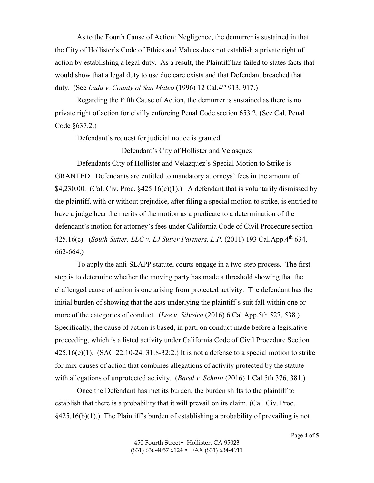As to the Fourth Cause of Action: Negligence, the demurrer is sustained in that the City of Hollister's Code of Ethics and Values does not establish a private right of action by establishing a legal duty. As a result, the Plaintiff has failed to states facts that would show that a legal duty to use due care exists and that Defendant breached that duty. (See *Ladd v. County of San Mateo* (1996) 12 Cal.4th 913, 917.)

Regarding the Fifth Cause of Action, the demurrer is sustained as there is no private right of action for civilly enforcing Penal Code section 653.2. (See Cal. Penal Code §637.2.)

Defendant's request for judicial notice is granted.

### Defendant's City of Hollister and Velasquez

Defendants City of Hollister and Velazquez's Special Motion to Strike is GRANTED. Defendants are entitled to mandatory attorneys' fees in the amount of \$4,230.00. (Cal. Civ, Proc.  $\frac{$425.16(c)(1)}{2}$  A defendant that is voluntarily dismissed by the plaintiff, with or without prejudice, after filing a special motion to strike, is entitled to have a judge hear the merits of the motion as a predicate to a determination of the defendant's motion for attorney's fees under California Code of Civil Procedure section 425.16(c). (*South Sutter, LLC v. LJ Sutter Partners, L.P.* (2011) 193 Cal.App.4th 634, 662-664.)

To apply the anti-SLAPP statute, courts engage in a two-step process. The first step is to determine whether the moving party has made a threshold showing that the challenged cause of action is one arising from protected activity. The defendant has the initial burden of showing that the acts underlying the plaintiff's suit fall within one or more of the categories of conduct. (*Lee v. Silveira* (2016) 6 Cal.App.5th 527, 538.) Specifically, the cause of action is based, in part, on conduct made before a legislative proceeding, which is a listed activity under California Code of Civil Procedure Section  $425.16(e)(1)$ . (SAC 22:10-24, 31:8-32:2.) It is not a defense to a special motion to strike for mix-causes of action that combines allegations of activity protected by the statute with allegations of unprotected activity. (*Baral v. Schnitt* (2016) 1 Cal.5th 376, 381.)

Once the Defendant has met its burden, the burden shifts to the plaintiff to establish that there is a probability that it will prevail on its claim. (Cal. Civ. Proc.  $§425.16(b)(1)$ .) The Plaintiff's burden of establishing a probability of prevailing is not